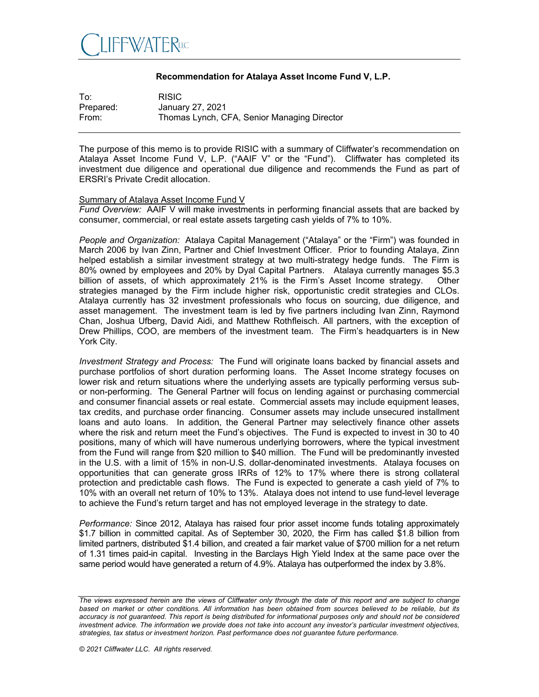

## **Recommendation for Atalaya Asset Income Fund V, L.P.**

| To:       | <b>RISIC</b>                                |
|-----------|---------------------------------------------|
| Prepared: | January 27, 2021                            |
| From:     | Thomas Lynch, CFA, Senior Managing Director |

The purpose of this memo is to provide RISIC with a summary of Cliffwater's recommendation on Atalaya Asset Income Fund V, L.P. ("AAIF V" or the "Fund"). Cliffwater has completed its investment due diligence and operational due diligence and recommends the Fund as part of ERSRI's Private Credit allocation.

## Summary of Atalaya Asset Income Fund V

*Fund Overview:* AAIF V will make investments in performing financial assets that are backed by consumer, commercial, or real estate assets targeting cash yields of 7% to 10%.

*People and Organization:* Atalaya Capital Management ("Atalaya" or the "Firm") was founded in March 2006 by Ivan Zinn, Partner and Chief Investment Officer. Prior to founding Atalaya, Zinn helped establish a similar investment strategy at two multi-strategy hedge funds. The Firm is 80% owned by employees and 20% by Dyal Capital Partners. Atalaya currently manages \$5.3 billion of assets, of which approximately 21% is the Firm's Asset Income strategy. Other strategies managed by the Firm include higher risk, opportunistic credit strategies and CLOs. Atalaya currently has 32 investment professionals who focus on sourcing, due diligence, and asset management. The investment team is led by five partners including Ivan Zinn, Raymond Chan, Joshua Ufberg, David Aidi, and Matthew Rothfleisch. All partners, with the exception of Drew Phillips, COO, are members of the investment team. The Firm's headquarters is in New York City.

*Investment Strategy and Process:* The Fund will originate loans backed by financial assets and purchase portfolios of short duration performing loans. The Asset Income strategy focuses on lower risk and return situations where the underlying assets are typically performing versus subor non-performing. The General Partner will focus on lending against or purchasing commercial and consumer financial assets or real estate. Commercial assets may include equipment leases, tax credits, and purchase order financing. Consumer assets may include unsecured installment loans and auto loans. In addition, the General Partner may selectively finance other assets where the risk and return meet the Fund's objectives. The Fund is expected to invest in 30 to 40 positions, many of which will have numerous underlying borrowers, where the typical investment from the Fund will range from \$20 million to \$40 million. The Fund will be predominantly invested in the U.S. with a limit of 15% in non-U.S. dollar-denominated investments. Atalaya focuses on opportunities that can generate gross IRRs of 12% to 17% where there is strong collateral protection and predictable cash flows. The Fund is expected to generate a cash yield of 7% to 10% with an overall net return of 10% to 13%. Atalaya does not intend to use fund-level leverage to achieve the Fund's return target and has not employed leverage in the strategy to date.

*Performance:* Since 2012, Atalaya has raised four prior asset income funds totaling approximately \$1.7 billion in committed capital. As of September 30, 2020, the Firm has called \$1.8 billion from limited partners, distributed \$1.4 billion, and created a fair market value of \$700 million for a net return of 1.31 times paid-in capital. Investing in the Barclays High Yield Index at the same pace over the same period would have generated a return of 4.9%. Atalaya has outperformed the index by 3.8%.

*The views expressed herein are the views of Cliffwater only through the date of this report and are subject to change*  based on market or other conditions. All information has been obtained from sources believed to be reliable, but its *accuracy is not guaranteed. This report is being distributed for informational purposes only and should not be considered investment advice. The information we provide does not take into account any investor's particular investment objectives, strategies, tax status or investment horizon. Past performance does not guarantee future performance.*